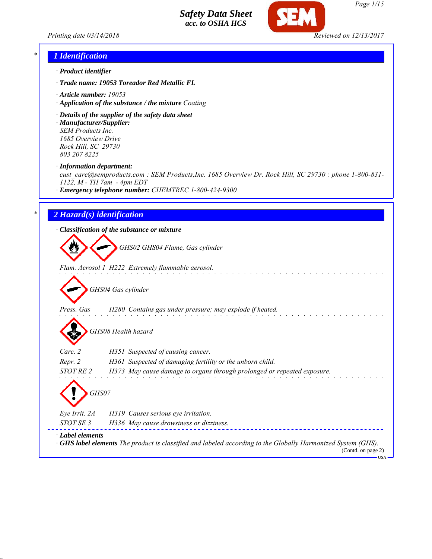



# *\* 1 Identification*

- *· Product identifier*
- *· Trade name: 19053 Toreador Red Metallic FL*
- *· Article number: 19053*
- *· Application of the substance / the mixture Coating*
- *· Details of the supplier of the safety data sheet · Manufacturer/Supplier: SEM Products Inc.*

*1685 Overview Drive Rock Hill, SC 29730 803 207 8225*

*· Information department:*

*cust\_care@semproducts.com : SEM Products,Inc. 1685 Overview Dr. Rock Hill, SC 29730 : phone 1-800-831- 1122, M - TH 7am - 4pm EDT*

*· Emergency telephone number: CHEMTREC 1-800-424-9300*

### *\* 2 Hazard(s) identification*

*· Classification of the substance or mixture*

*GHS02 GHS04 Flame, Gas cylinder*

*Flam. Aerosol 1 H222 Extremely flammable aerosol.*

*GHS04 Gas cylinder*

*Press. Gas H280 Contains gas under pressure; may explode if heated.*

*GHS08 Health hazard*

| Carc. 2          | H351 Suspected of causing cancer.                                                                                   |
|------------------|---------------------------------------------------------------------------------------------------------------------|
| Repr. 2          | H361 Suspected of damaging fertility or the unborn child.                                                           |
| STOT RE 2        | H373 May cause damage to organs through prolonged or repeated exposure.                                             |
| GHS07            |                                                                                                                     |
| Eye Irrit. 2A    | H319 Causes serious eye irritation.                                                                                 |
| STOT SE 3        | H336 May cause drowsiness or dizziness.                                                                             |
| · Label elements | $\cdot$ GHS label elements The product is classified and labeled according to the Globally Harmonized System (GHS). |

(Contd. on page 2) **HSA**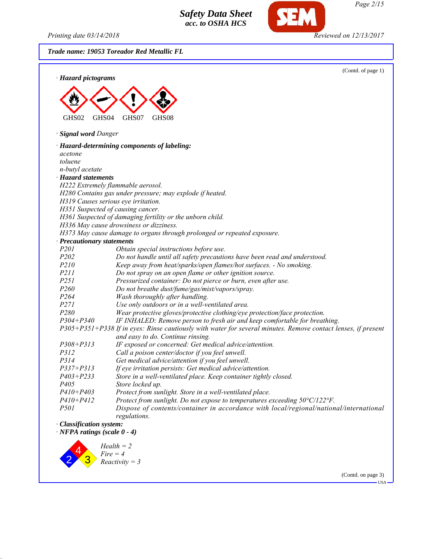*Printing date 03/14/2018 Reviewed on 12/13/2017*

*Trade name: 19053 Toreador Red Metallic FL*



USA

(Contd. on page 3)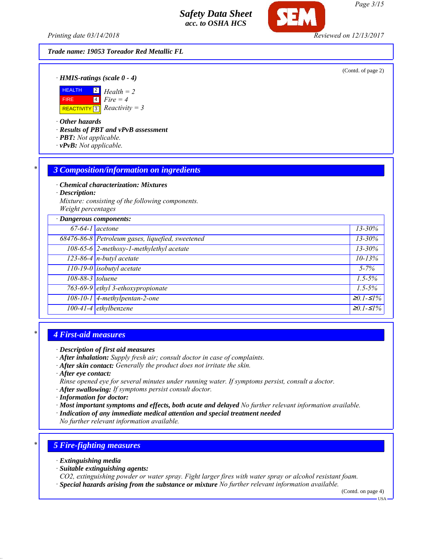*Trade name: 19053 Toreador Red Metallic FL*

(Contd. of page 2)

*· HMIS-ratings (scale 0 - 4)*



*· Other hazards*

*· Results of PBT and vPvB assessment*

- *· PBT: Not applicable.*
- *· vPvB: Not applicable.*

### *\* 3 Composition/information on ingredients*

*· Chemical characterization: Mixtures*

*· Description:*

*Mixture: consisting of the following components. Weight percentages*

| · Dangerous components: |                                                  |               |
|-------------------------|--------------------------------------------------|---------------|
| $67-64-1$ acetone       |                                                  | $13 - 30\%$   |
|                         | 68476-86-8 Petroleum gases, liquefied, sweetened | $13 - 30\%$   |
|                         | 108-65-6 2-methoxy-1-methylethyl acetate         | $13 - 30\%$   |
|                         | $123-86-4$ n-butyl acetate                       | $10 - 13%$    |
|                         | 110-19-0 isobutyl acetate                        | $5 - 7\%$     |
| 108-88-3 toluene        |                                                  | $1.5 - 5\%$   |
|                         | 763-69-9 ethyl 3-ethoxypropionate                | $1.5 - 5\%$   |
|                         | 108-10-1 4-methylpentan-2-one                    | $≥0.1-S1%$    |
|                         | 100-41-4 ethylbenzene                            | $20.1 - 51\%$ |

# *\* 4 First-aid measures*

- *· Description of first aid measures*
- *· After inhalation: Supply fresh air; consult doctor in case of complaints.*
- *· After skin contact: Generally the product does not irritate the skin.*
- *· After eye contact:*
- *Rinse opened eye for several minutes under running water. If symptoms persist, consult a doctor.*
- *· After swallowing: If symptoms persist consult doctor.*
- *· Information for doctor:*
- *· Most important symptoms and effects, both acute and delayed No further relevant information available.*
- *· Indication of any immediate medical attention and special treatment needed*
- *No further relevant information available.*

# *\* 5 Fire-fighting measures*

- *· Extinguishing media*
- *· Suitable extinguishing agents:*
- *CO2, extinguishing powder or water spray. Fight larger fires with water spray or alcohol resistant foam.*
- *· Special hazards arising from the substance or mixture No further relevant information available.*

(Contd. on page 4)

*Page 3/15*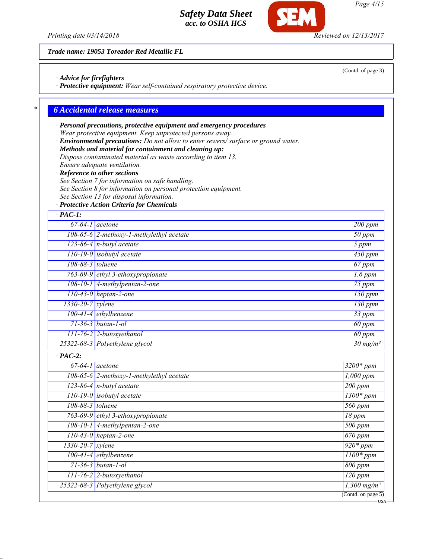*Trade name: 19053 Toreador Red Metallic FL*

*· Advice for firefighters*

*· Protective equipment: Wear self-contained respiratory protective device.*

### *\* 6 Accidental release measures*

## *· Personal precautions, protective equipment and emergency procedures Wear protective equipment. Keep unprotected persons away.*

- *· Environmental precautions: Do not allow to enter sewers/ surface or ground water.*
- *· Methods and material for containment and cleaning up: Dispose contaminated material as waste according to item 13.*
- *Ensure adequate ventilation.*
- 
- *· Reference to other sections*
- *See Section 7 for information on safe handling.*
- *See Section 8 for information on personal protection equipment.*
- *See Section 13 for disposal information.*
- *· Protective Action Criteria for Chemicals*

# *· PAC-1: 67-64-1 acetone 200 ppm 108-65-6 2-methoxy-1-methylethyl acetate 50 ppm 123-86-4 n-butyl acetate 5 ppm 110-19-0 isobutyl acetate 450 ppm 108-88-3 toluene 67 ppm 763-69-9 ethyl 3-ethoxypropionate 1.6 ppm 108-10-1 4-methylpentan-2-one 75 ppm 110-43-0 heptan-2-one 150 ppm 1330-20-7 xylene 130 ppm 100-41-4 ethylbenzene 33 ppm 71-36-3 butan-1-ol 60 ppm 111-76-2 2-butoxyethanol 60 ppm 25322-68-3 Polyethylene glycol 30 mg/m³ · PAC-2: 67-64-1 acetone 3200\* ppm 108-65-6 2-methoxy-1-methylethyl acetate 1,000 ppm 123-86-4 n-butyl acetate 200 ppm 110-19-0 isobutyl acetate 1300\* ppm 108-88-3 toluene 560 ppm 763-69-9 ethyl 3-ethoxypropionate 18 ppm 108-10-1 4-methylpentan-2-one 500 ppm 110-43-0 heptan-2-one 670 ppm 1330-20-7 xylene 920\* ppm 100-41-4 ethylbenzene 1100\* ppm 71-36-3 butan-1-ol 800 ppm 111-76-2 2-butoxyethanol 120 ppm 25322-68-3 Polyethylene glycol 1,300 mg/m³* (Contd. on page 5)

(Contd. of page 3)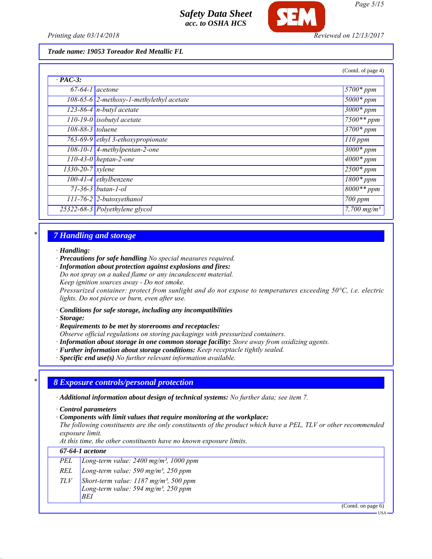

### *Trade name: 19053 Toreador Red Metallic FL*

|                              |                                                | (Contd. of page 4)      |
|------------------------------|------------------------------------------------|-------------------------|
| $\cdot$ PAC-3:               |                                                |                         |
| $67-64-1$ acetone            |                                                | $5700*ppm$              |
|                              | $108-65-6$ 2-methoxy-1-methylethyl acetate     | $\overline{5000}$ * ppm |
|                              | 123-86-4 $n$ -butyl acetate                    | $3000*$ ppm             |
|                              | $110-19-0$ isobutyl acetate                    | $7500**$ ppm            |
| 108-88-3 toluene             |                                                | $3700*$ ppm             |
|                              | $\overline{763-69-9}$ ethyl 3-ethoxypropionate | $110$ ppm               |
|                              | 108-10-1 4-methylpentan-2-one                  | $3000*$ ppm             |
|                              | $\overline{110-43-0}$ heptan-2-one             | $4000*$ ppm             |
| $\sqrt{1330-20}$ -7   xylene |                                                | $2500*$ ppm             |
|                              | $100-41-4$ ethylbenzene                        | $1800*ppm$              |
|                              | $71 - 36 - 3$ butan-1-ol                       | $\sqrt{8000}$ ** ppm    |
|                              | $\boxed{111-76-2}$ 2-butoxyethanol             | 700 ppm                 |
|                              | 25322-68-3 Polyethylene glycol                 | 7,700 $mg/m^3$          |

# *\* 7 Handling and storage*

#### *· Handling:*

- *· Precautions for safe handling No special measures required.*
- *· Information about protection against explosions and fires:*

*Do not spray on a naked flame or any incandescent material.*

*Keep ignition sources away - Do not smoke.*

*Pressurized container: protect from sunlight and do not expose to temperatures exceeding 50°C, i.e. electric lights. Do not pierce or burn, even after use.*

- *· Conditions for safe storage, including any incompatibilities*
- *· Storage:*

*· Requirements to be met by storerooms and receptacles:*

- *Observe official regulations on storing packagings with pressurized containers.*
- *· Information about storage in one common storage facility: Store away from oxidizing agents.*
- *· Further information about storage conditions: Keep receptacle tightly sealed.*
- *· Specific end use(s) No further relevant information available.*

### *\* 8 Exposure controls/personal protection*

*· Additional information about design of technical systems: No further data; see item 7.*

- *· Control parameters*
- *· Components with limit values that require monitoring at the workplace:*

*The following constituents are the only constituents of the product which have a PEL, TLV or other recommended exposure limit.*

*At this time, the other constituents have no known exposure limits.*

|     | 67-64-1 acetone                                                                                              |  |  |
|-----|--------------------------------------------------------------------------------------------------------------|--|--|
| PEL | Long-term value: $2400$ mg/m <sup>3</sup> , 1000 ppm                                                         |  |  |
| REL | Long-term value: 590 mg/m <sup>3</sup> , 250 ppm                                                             |  |  |
| TLV | Short-term value: $1187 \text{ mg/m}^3$ , 500 ppm<br>Long-term value: 594 mg/m <sup>3</sup> , 250 ppm<br>BEI |  |  |
|     | (Contd. on page 6)                                                                                           |  |  |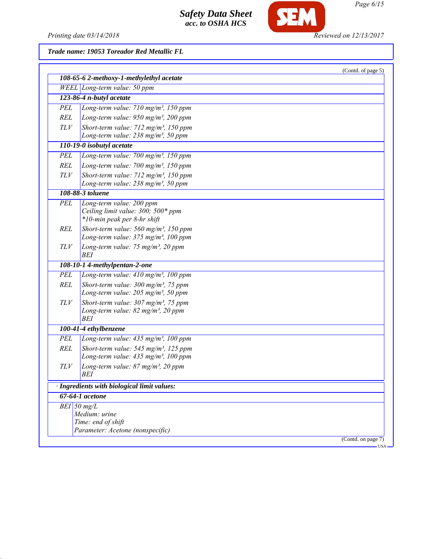

|            |                                                                                                         | (Contd. of page 5)    |
|------------|---------------------------------------------------------------------------------------------------------|-----------------------|
|            | 108-65-6 2-methoxy-1-methylethyl acetate                                                                |                       |
|            | WEEL Long-term value: 50 ppm                                                                            |                       |
|            | 123-86-4 n-butyl acetate                                                                                |                       |
| PEL        | Long-term value: 710 mg/m <sup>3</sup> , 150 ppm                                                        |                       |
| REL        | Long-term value: $950$ mg/m <sup>3</sup> , 200 ppm                                                      |                       |
| TLV        | Short-term value: $712$ mg/m <sup>3</sup> , 150 ppm                                                     |                       |
|            | Long-term value: 238 mg/m <sup>3</sup> , 50 ppm                                                         |                       |
|            | 110-19-0 isobutyl acetate                                                                               |                       |
| <b>PEL</b> | Long-term value: $700$ mg/m <sup>3</sup> , 150 ppm                                                      |                       |
| REL        | Long-term value: 700 mg/m <sup>3</sup> , 150 ppm                                                        |                       |
| TLV        | Short-term value: $712$ mg/m <sup>3</sup> , 150 ppm                                                     |                       |
|            | Long-term value: $238$ mg/m <sup>3</sup> , 50 ppm                                                       |                       |
|            | 108-88-3 toluene                                                                                        |                       |
| <b>PEL</b> | Long-term value: 200 ppm                                                                                |                       |
|            | Ceiling limit value: 300; 500* ppm<br>*10-min peak per 8-hr shift                                       |                       |
| REL        | Short-term value: $560$ mg/m <sup>3</sup> , 150 ppm                                                     |                       |
|            | Long-term value: 375 mg/m <sup>3</sup> , 100 ppm                                                        |                       |
| TLV        | Long-term value: 75 mg/m <sup>3</sup> , 20 ppm                                                          |                       |
|            | BEI                                                                                                     |                       |
|            | 108-10-1 4-methylpentan-2-one                                                                           |                       |
| <b>PEL</b> | Long-term value: 410 mg/m <sup>3</sup> , 100 ppm                                                        |                       |
| <b>REL</b> | Short-term value: $300$ mg/m <sup>3</sup> , 75 ppm                                                      |                       |
|            | Long-term value: $205$ mg/m <sup>3</sup> , 50 ppm                                                       |                       |
| TLV        | Short-term value: $307 \text{ mg/m}^3$ , 75 ppm                                                         |                       |
|            | Long-term value: $82$ mg/m <sup>3</sup> , 20 ppm                                                        |                       |
|            | BEI<br>100-41-4 ethylbenzene                                                                            |                       |
| PEL        |                                                                                                         |                       |
|            | Long-term value: 435 mg/m <sup>3</sup> , 100 ppm                                                        |                       |
| REL        | Short-term value: $545$ mg/m <sup>3</sup> , 125 ppm<br>Long-term value: 435 mg/m <sup>3</sup> , 100 ppm |                       |
| TLV        | Long-term value: 87 mg/m <sup>3</sup> , 20 ppm                                                          |                       |
|            | BEI                                                                                                     |                       |
|            | <b>Ingredients with biological limit values:</b>                                                        |                       |
|            | 67-64-1 acetone                                                                                         |                       |
|            | $BEI$ 50 mg/L                                                                                           |                       |
|            | Medium: urine                                                                                           |                       |
|            | Time: end of shift                                                                                      |                       |
|            | Parameter: Acetone (nonspecific)                                                                        |                       |
|            |                                                                                                         | (Contd. on page $7$ ) |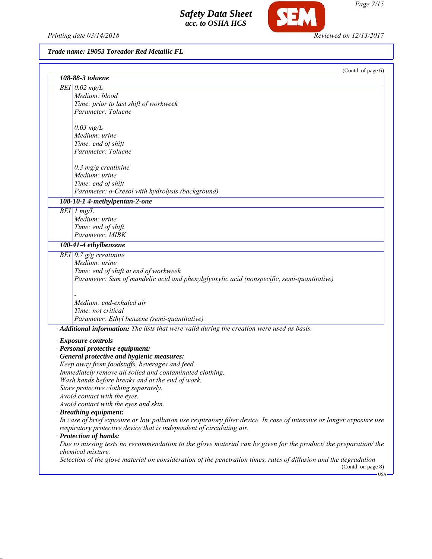Printing date 03/14/2018 **Reviewed on 12/13/2017** 

SEM

# *Trade name: 19053 Toreador Red Metallic FL*

| 108-88-3 toluene                                                                                                      | (Contd. of page 6)         |
|-----------------------------------------------------------------------------------------------------------------------|----------------------------|
|                                                                                                                       |                            |
| $BEI$ 0.02 mg/L                                                                                                       |                            |
| Medium: blood                                                                                                         |                            |
| Time: prior to last shift of workweek                                                                                 |                            |
| Parameter: Toluene                                                                                                    |                            |
| $0.03$ mg/L                                                                                                           |                            |
| Medium: urine                                                                                                         |                            |
| Time: end of shift                                                                                                    |                            |
| Parameter: Toluene                                                                                                    |                            |
| $0.3$ mg/g creatinine                                                                                                 |                            |
| Medium: urine                                                                                                         |                            |
| Time: end of shift                                                                                                    |                            |
| Parameter: o-Cresol with hydrolysis (background)                                                                      |                            |
| 108-10-1 4-methylpentan-2-one                                                                                         |                            |
| $BEI$ 1 mg/L                                                                                                          |                            |
| Medium: urine                                                                                                         |                            |
| Time: end of shift                                                                                                    |                            |
| Parameter: MIBK                                                                                                       |                            |
| 100-41-4 ethylbenzene                                                                                                 |                            |
| BEI $0.7$ g/g creatinine                                                                                              |                            |
| Medium: urine                                                                                                         |                            |
| Time: end of shift at end of workweek                                                                                 |                            |
| Parameter: Sum of mandelic acid and phenylglyoxylic acid (nonspecific, semi-quantitative)                             |                            |
|                                                                                                                       |                            |
| Medium: end-exhaled air                                                                                               |                            |
| Time: not critical                                                                                                    |                            |
| Parameter: Ethyl benzene (semi-quantitative)                                                                          |                            |
| Additional information: The lists that were valid during the creation were used as basis.                             |                            |
| · Exposure controls                                                                                                   |                            |
| · Personal protective equipment:                                                                                      |                            |
| · General protective and hygienic measures:                                                                           |                            |
| Keep away from foodstuffs, beverages and feed.                                                                        |                            |
| Immediately remove all soiled and contaminated clothing.                                                              |                            |
| Wash hands before breaks and at the end of work.                                                                      |                            |
| Store protective clothing separately.                                                                                 |                            |
| Avoid contact with the eyes.                                                                                          |                            |
| Avoid contact with the eyes and skin.                                                                                 |                            |
| · Breathing equipment:                                                                                                |                            |
| In case of brief exposure or low pollution use respiratory filter device. In case of intensive or longer exposure use |                            |
| respiratory protective device that is independent of circulating air.<br>· Protection of hands:                       |                            |
| Due to missing tests no recommendation to the glove material can be given for the product/ the preparation/ the       |                            |
| chemical mixture.                                                                                                     |                            |
| Selection of the glove material on consideration of the penetration times, rates of diffusion and the degradation     | (Contd. on page 8)<br>-USA |

*Page 7/15*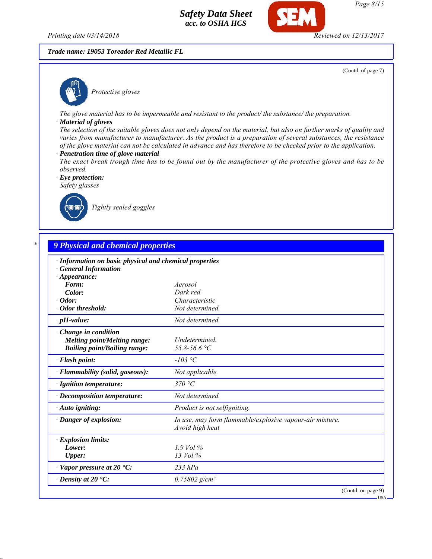*Trade name: 19053 Toreador Red Metallic FL*

(Contd. of page 7)

*Protective gloves*

*The glove material has to be impermeable and resistant to the product/ the substance/ the preparation.*

#### *· Material of gloves*

*The selection of the suitable gloves does not only depend on the material, but also on further marks of quality and varies from manufacturer to manufacturer. As the product is a preparation of several substances, the resistance of the glove material can not be calculated in advance and has therefore to be checked prior to the application.*

- *· Penetration time of glove material*
- *The exact break trough time has to be found out by the manufacturer of the protective gloves and has to be observed.*

*· Eye protection: Safety glasses*



*Tightly sealed goggles*

| · Information on basic physical and chemical properties |                                                          |
|---------------------------------------------------------|----------------------------------------------------------|
| <b>General Information</b>                              |                                                          |
| $\cdot$ Appearance:                                     |                                                          |
| Form:                                                   | Aerosol                                                  |
| Color:                                                  | Dark red                                                 |
| $\cdot$ Odor:<br>· Odor threshold:                      | Characteristic<br>Not determined.                        |
| $\cdot$ pH-value:                                       | Not determined.                                          |
| Change in condition                                     |                                                          |
| <b>Melting point/Melting range:</b>                     | Undetermined.                                            |
| <b>Boiling point/Boiling range:</b>                     | 55.8-56.6 °C                                             |
| · Flash point:                                          | $-103$ °C                                                |
| · Flammability (solid, gaseous):                        | Not applicable.                                          |
| · Ignition temperature:                                 | 370 °C                                                   |
| $\cdot$ Decomposition temperature:                      | Not determined.                                          |
| · Auto igniting:                                        | Product is not selfigniting.                             |
| · Danger of explosion:                                  | In use, may form flammable/explosive vapour-air mixture. |
|                                                         | Avoid high heat                                          |
| · Explosion limits:                                     |                                                          |
| Lower:                                                  | $1.9$ Vol %                                              |
| <b>Upper:</b>                                           | 13 Vol %                                                 |
| $\cdot$ Vapor pressure at 20 $\cdot$ C:                 | $233$ $hPa$                                              |
| $\cdot$ Density at 20 $\textdegree$ C:                  | $0.75802$ g/cm <sup>3</sup>                              |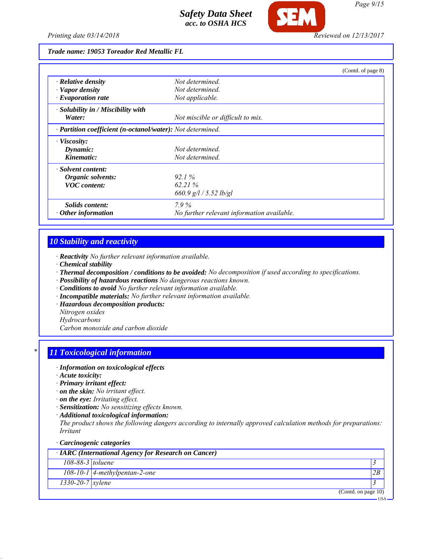

*Trade name: 19053 Toreador Red Metallic FL*

|                                                            |                                            | (Contd. of page 8) |
|------------------------------------------------------------|--------------------------------------------|--------------------|
| $\cdot$ Relative density                                   | Not determined.                            |                    |
| · Vapor density                                            | Not determined.                            |                    |
| $\cdot$ Evaporation rate                                   | Not applicable.                            |                    |
| · Solubility in / Miscibility with                         |                                            |                    |
| Water:                                                     | Not miscible or difficult to mix.          |                    |
| · Partition coefficient (n-octanol/water): Not determined. |                                            |                    |
| · Viscosity:                                               |                                            |                    |
| Dynamic:                                                   | Not determined.                            |                    |
| Kinematic:                                                 | Not determined.                            |                    |
| · Solvent content:                                         |                                            |                    |
| Organic solvents:                                          | $921\%$                                    |                    |
| <b>VOC</b> content:                                        | 62.21%                                     |                    |
|                                                            | 660.9 $g/l / 5.52 lb/gl$                   |                    |
| Solids content:                                            | $7.9\%$                                    |                    |
| $\cdot$ Other information                                  | No further relevant information available. |                    |

## *10 Stability and reactivity*

- *· Reactivity No further relevant information available.*
- *· Chemical stability*
- *· Thermal decomposition / conditions to be avoided: No decomposition if used according to specifications.*
- *· Possibility of hazardous reactions No dangerous reactions known.*
- *· Conditions to avoid No further relevant information available.*
- *· Incompatible materials: No further relevant information available.*
- *· Hazardous decomposition products:*
- *Nitrogen oxides*
- *Hydrocarbons*

*Carbon monoxide and carbon dioxide*

### *\* 11 Toxicological information*

#### *· Information on toxicological effects*

- *· Acute toxicity:*
- *· Primary irritant effect:*
- *· on the skin: No irritant effect.*
- *· on the eye: Irritating effect.*
- *· Sensitization: No sensitizing effects known.*
- *· Additional toxicological information:*

*The product shows the following dangers according to internally approved calculation methods for preparations: Irritant*

#### *· Carcinogenic categories*

|                        | · IARC (International Agency for Research on Cancer) |            |
|------------------------|------------------------------------------------------|------------|
| $108-88-3$ toluene     |                                                      |            |
|                        | $108-10-1$ 4-methylpentan-2-one                      | 2B         |
| $1330 - 20 - 7$ xylene |                                                      |            |
|                        | (Contd. on page $10$ )                               |            |
|                        |                                                      | <b>USA</b> |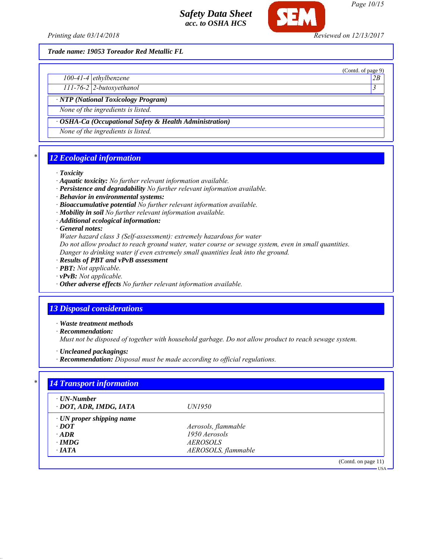

*Page 10/15*

(Contd. of page 9)

USA

*Trade name: 19053 Toreador Red Metallic FL*

*100-41-4 ethylbenzene 2B*

*111-76-2 2-butoxyethanol 3* 

*· NTP (National Toxicology Program)*

*None of the ingredients is listed.*

*· OSHA-Ca (Occupational Safety & Health Administration)*

*None of the ingredients is listed.*

# *\* 12 Ecological information*

#### *· Toxicity*

- *· Aquatic toxicity: No further relevant information available.*
- *· Persistence and degradability No further relevant information available.*
- *· Behavior in environmental systems:*
- *· Bioaccumulative potential No further relevant information available.*
- *· Mobility in soil No further relevant information available.*
- *· Additional ecological information:*

*· General notes:*

*Water hazard class 3 (Self-assessment): extremely hazardous for water*

*Do not allow product to reach ground water, water course or sewage system, even in small quantities.*

- *Danger to drinking water if even extremely small quantities leak into the ground.*
- *· Results of PBT and vPvB assessment*
- *· PBT: Not applicable.*
- *· vPvB: Not applicable.*
- *· Other adverse effects No further relevant information available.*

# *13 Disposal considerations*

*· Waste treatment methods*

*· Recommendation:*

*Must not be disposed of together with household garbage. Do not allow product to reach sewage system.*

*· Uncleaned packagings:*

*· Recommendation: Disposal must be made according to official regulations.*

| $\cdot$ UN-Number               |                     |  |
|---------------------------------|---------------------|--|
| · DOT, ADR, IMDG, IATA          | <i>UN1950</i>       |  |
| $\cdot$ UN proper shipping name |                     |  |
| $\cdot$ DOT                     | Aerosols, flammable |  |
| $\cdot$ ADR                     | 1950 Aerosols       |  |
| $\cdot$ IMDG                    | <i>AEROSOLS</i>     |  |
| $\cdot$ IATA                    | AEROSOLS, flammable |  |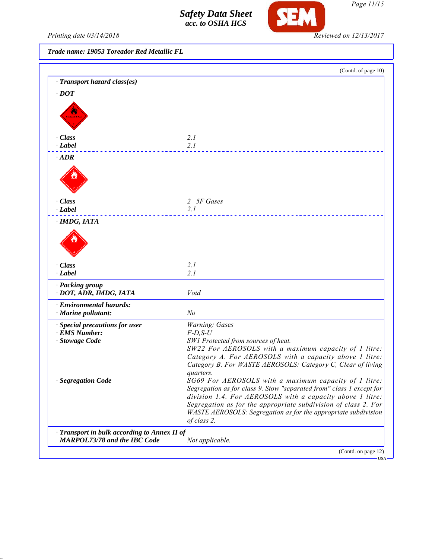

*Printing date 03/14/2018 Reviewed on 12/13/2017*

*Trade name: 19053 Toreador Red Metallic FL*

|                                            | (Contd. of page 10)                                                                          |
|--------------------------------------------|----------------------------------------------------------------------------------------------|
| · Transport hazard class(es)               |                                                                                              |
| $\cdot$ DOT                                |                                                                                              |
|                                            |                                                                                              |
|                                            |                                                                                              |
|                                            |                                                                                              |
|                                            |                                                                                              |
| · Class<br>· Label                         | 2.1<br>2.1                                                                                   |
|                                            |                                                                                              |
| $\cdot$ ADR                                |                                                                                              |
|                                            |                                                                                              |
|                                            |                                                                                              |
|                                            |                                                                                              |
| · Class                                    | 2 5F Gases                                                                                   |
| · Label                                    | 2.1                                                                                          |
| · IMDG, IATA                               |                                                                                              |
|                                            |                                                                                              |
|                                            |                                                                                              |
|                                            |                                                                                              |
|                                            |                                                                                              |
| · Class                                    | 2.1                                                                                          |
| $\cdot$ Label                              | 2.1                                                                                          |
| · Packing group                            |                                                                                              |
| · DOT, ADR, IMDG, IATA                     | Void                                                                                         |
| · Environmental hazards:                   |                                                                                              |
| · Marine pollutant:                        | N <sub>o</sub>                                                                               |
| · Special precautions for user             | Warning: Gases                                                                               |
| · EMS Number:                              | $F$ -D,S-U                                                                                   |
| · Stowage Code                             | SW1 Protected from sources of heat.<br>SW22 For AEROSOLS with a maximum capacity of 1 litre: |
|                                            | Category A. For AEROSOLS with a capacity above 1 litre:                                      |
|                                            | Category B. For WASTE AEROSOLS: Category C, Clear of living                                  |
|                                            | quarters.                                                                                    |
| · Segregation Code                         | SG69 For AEROSOLS with a maximum capacity of 1 litre:                                        |
|                                            | Segregation as for class 9. Stow "separated from" class 1 except for                         |
|                                            | division 1.4. For AEROSOLS with a capacity above 1 litre:                                    |
|                                            | Segregation as for the appropriate subdivision of class 2. For                               |
|                                            | WASTE AEROSOLS: Segregation as for the appropriate subdivision<br>of class 2.                |
| Transport in bulk according to Annex II of |                                                                                              |
| <b>MARPOL73/78 and the IBC Code</b>        | Not applicable.                                                                              |
|                                            | (Contd. on page 12)                                                                          |

*Page 11/15*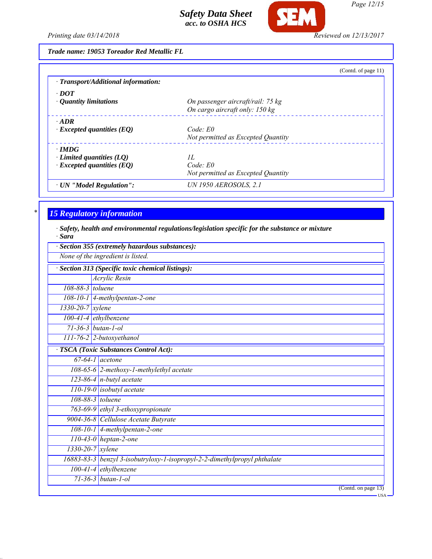

*Page 12/15*

*Printing date 03/14/2018 Reviewed on 12/13/2017*

*Trade name: 19053 Toreador Red Metallic FL*

|                                     | (Contd. of page 11)                |
|-------------------------------------|------------------------------------|
| · Transport/Additional information: |                                    |
| $\cdot$ DOT                         |                                    |
| • Quantity limitations              | On passenger aircraft/rail: 75 kg  |
|                                     | On cargo aircraft only: 150 kg     |
| $\cdot$ ADR                         |                                    |
| $\cdot$ Excepted quantities (EQ)    | Code: E0                           |
|                                     | Not permitted as Excepted Quantity |
| $\cdot$ IMDG                        |                                    |
| $\cdot$ Limited quantities (LQ)     | II.                                |
| $\cdot$ Excepted quantities (EQ)    | $Code$ $E0$                        |
|                                     | Not permitted as Excepted Quantity |
| · UN "Model Regulation":            | <b>UN 1950 AEROSOLS, 2.1</b>       |

# *\* 15 Regulatory information*

*· Safety, health and environmental regulations/legislation specific for the substance or mixture · Sara*

|                        | Section 355 (extremely hazardous substances):                             |
|------------------------|---------------------------------------------------------------------------|
|                        | None of the ingredient is listed.                                         |
|                        | Section 313 (Specific toxic chemical listings):                           |
|                        | Acrylic Resin                                                             |
| 108-88-3 toluene       |                                                                           |
|                        | 108-10-1 4-methylpentan-2-one                                             |
| $1330 - 20 - 7$ xylene |                                                                           |
|                        | $100-41-4$ ethylbenzene                                                   |
|                        | $71-36-3$ butan-1-ol                                                      |
|                        | $111$ -76-2 2-butoxyethanol                                               |
|                        | · TSCA (Toxic Substances Control Act):                                    |
|                        | $67-64-1$ acetone                                                         |
|                        | 108-65-6 2-methoxy-1-methylethyl acetate                                  |
|                        | $123-86-4$ n-butyl acetate                                                |
|                        | $110-19-0$ isobutyl acetate                                               |
|                        | 108-88-3 toluene                                                          |
|                        | 763-69-9 ethyl 3-ethoxypropionate                                         |
|                        | 9004-36-8 Cellulose Acetate Butyrate                                      |
|                        | $108-10-1$ 4-methylpentan-2-one                                           |
|                        | $110-43-0$ heptan-2-one                                                   |
|                        | 1330-20-7 xylene                                                          |
|                        | 16883-83-3 benzyl 3-isobutryloxy-1-isopropyl-2-2-dimethylpropyl phthalate |
|                        | 100-41-4 ethylbenzene                                                     |
|                        | $71 - 36 - 3$ butan-1-ol                                                  |
|                        | (Contd. on page 13)<br>- USA                                              |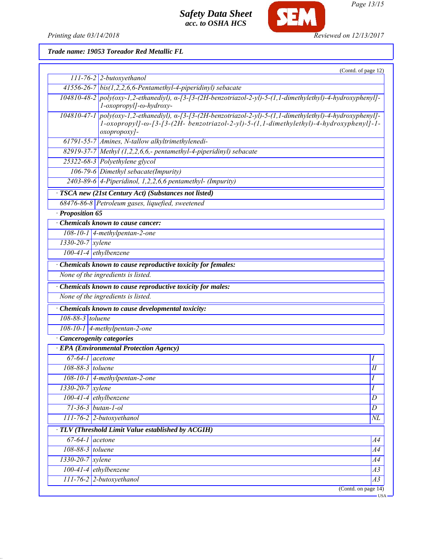

**SEM** 

*Page 13/15*

*Trade name: 19053 Toreador Red Metallic FL*

|                              | (Contd. of page 12)                                                                                                                                                                                                    |                 |
|------------------------------|------------------------------------------------------------------------------------------------------------------------------------------------------------------------------------------------------------------------|-----------------|
|                              | $111$ -76-2 2-butoxyethanol                                                                                                                                                                                            |                 |
|                              | $41556-26-7$ bis(1,2,2,6,6-Pentamethyl-4-piperidinyl) sebacate                                                                                                                                                         |                 |
|                              | $104810-48-2$ poly(oxy-1,2-ethanediyl), $\alpha$ -[3-[3-(2H-benzotriazol-2-yl)-5-(1,1-dimethylethyl)-4-hydroxyphenyl]-<br>l-oxopropyl]-ω-hydroxy-                                                                      |                 |
|                              | 104810-47-1 poly(oxy-1,2-ethanediyl), a-[3-[3-(2H-benzotriazol-2-yl)-5-(1,1-dimethylethyl)-4-hydroxyphenyl]-<br>1-oxopropyl]-ω-[3-[3-(2H- benzotriazol-2-yl)-5-(1,1-dimethylethyl)-4-hydroxyphenyl]-1-<br>oxopropoxy]- |                 |
|                              | 61791-55-7 Amines, N-tallow alkyltrimethylenedi-                                                                                                                                                                       |                 |
|                              | 82919-37-7 Methyl (1,2,2,6,6,- pentamethyl-4-piperidinyl) sebacate                                                                                                                                                     |                 |
|                              | 25322-68-3 Polyethylene glycol                                                                                                                                                                                         |                 |
|                              | 106-79-6 Dimethyl sebacate(Impurity)                                                                                                                                                                                   |                 |
|                              | $2403-89-6$ 4-Piperidinol, 1,2,2,6,6 pentamethyl- (Impurity)                                                                                                                                                           |                 |
|                              | · TSCA new (21st Century Act) (Substances not listed)                                                                                                                                                                  |                 |
|                              | 68476-86-8 Petroleum gases, liquefied, sweetened                                                                                                                                                                       |                 |
| Proposition 65               |                                                                                                                                                                                                                        |                 |
|                              | <b>Chemicals known to cause cancer:</b>                                                                                                                                                                                |                 |
|                              | $108-10-1$ 4-methylpentan-2-one                                                                                                                                                                                        |                 |
| $1330-20-7$ xylene           |                                                                                                                                                                                                                        |                 |
|                              | $100-41-4$ ethylbenzene                                                                                                                                                                                                |                 |
|                              | Chemicals known to cause reproductive toxicity for females:                                                                                                                                                            |                 |
|                              | None of the ingredients is listed.                                                                                                                                                                                     |                 |
|                              | Chemicals known to cause reproductive toxicity for males:                                                                                                                                                              |                 |
|                              | None of the ingredients is listed.                                                                                                                                                                                     |                 |
|                              | · Chemicals known to cause developmental toxicity:                                                                                                                                                                     |                 |
| 108-88-3 toluene             |                                                                                                                                                                                                                        |                 |
|                              | $108-10-1$ 4-methylpentan-2-one                                                                                                                                                                                        |                 |
|                              | · Cancerogenity categories                                                                                                                                                                                             |                 |
|                              | <b>EPA</b> (Environmental Protection Agency)                                                                                                                                                                           |                 |
| $\overline{67-64-1}$ acetone |                                                                                                                                                                                                                        | Ι               |
| 108-88-3 toluene             |                                                                                                                                                                                                                        | П               |
|                              | $108-10-1$ 4-methylpentan-2-one                                                                                                                                                                                        | Ι               |
| $1330 - 20 - 7$ xylene       |                                                                                                                                                                                                                        | Ι               |
|                              | 100-41-4 ethylbenzene                                                                                                                                                                                                  | D               |
|                              | $71-36-3$ butan-1-ol                                                                                                                                                                                                   | $\overline{D}$  |
|                              | 111-76-2 2-butoxyethanol                                                                                                                                                                                               | $\overline{NL}$ |
|                              | TLV (Threshold Limit Value established by ACGIH)                                                                                                                                                                       |                 |
| $67-64-1$ acetone            |                                                                                                                                                                                                                        | A4              |
| 108-88-3 toluene             |                                                                                                                                                                                                                        | A4              |
| 1330-20-7 xylene             |                                                                                                                                                                                                                        | $\overline{A4}$ |
|                              | 100-41-4 ethylbenzene                                                                                                                                                                                                  | A3              |
|                              | 111-76-2 2-butoxyethanol                                                                                                                                                                                               | $\overline{A3}$ |
|                              | (Contd. on page 14)                                                                                                                                                                                                    |                 |
|                              |                                                                                                                                                                                                                        | $-USA$          |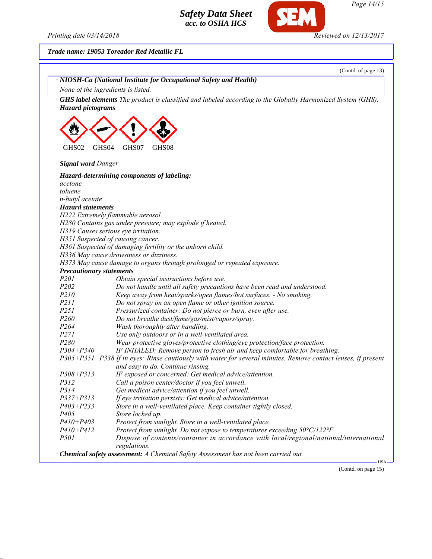Printing date 03/14/2018 **Reviewed on 12/13/2017** 

SEM

*Trade name: 19053 Toreador Red Metallic FL*

|                            | (Contd. of page 13)                                                                                           |
|----------------------------|---------------------------------------------------------------------------------------------------------------|
|                            | · NIOSH-Ca (National Institute for Occupational Safety and Health)                                            |
|                            | None of the ingredients is listed.                                                                            |
| · Hazard pictograms        | · GHS label elements The product is classified and labeled according to the Globally Harmonized System (GHS). |
| GHS02<br>GHS04             | GHS07<br>GHS08                                                                                                |
| · Signal word Danger       |                                                                                                               |
|                            | · Hazard-determining components of labeling:                                                                  |
| acetone                    |                                                                                                               |
| toluene                    |                                                                                                               |
| n-butyl acetate            |                                                                                                               |
| · Hazard statements        |                                                                                                               |
|                            | H222 Extremely flammable aerosol.                                                                             |
|                            | H280 Contains gas under pressure; may explode if heated.                                                      |
|                            | H319 Causes serious eye irritation.                                                                           |
|                            | H351 Suspected of causing cancer.                                                                             |
|                            | H361 Suspected of damaging fertility or the unborn child.                                                     |
|                            | H336 May cause drowsiness or dizziness.                                                                       |
|                            | H373 May cause damage to organs through prolonged or repeated exposure.                                       |
| · Precautionary statements |                                                                                                               |
| P201                       | Obtain special instructions before use.                                                                       |
| P202                       | Do not handle until all safety precautions have been read and understood.                                     |
| P210                       | Keep away from heat/sparks/open flames/hot surfaces. - No smoking.                                            |
| P211                       |                                                                                                               |
| P251                       | Do not spray on an open flame or other ignition source.                                                       |
| P260                       | Pressurized container: Do not pierce or burn, even after use.                                                 |
|                            | Do not breathe dust/fume/gas/mist/vapors/spray.                                                               |
| P264                       | Wash thoroughly after handling.                                                                               |
| P271                       | Use only outdoors or in a well-ventilated area.                                                               |
| P280                       | Wear protective gloves/protective clothing/eye protection/face protection.                                    |
| $P304 + P340$              | IF INHALED: Remove person to fresh air and keep comfortable for breathing.                                    |
|                            | P305+P351+P338 If in eyes: Rinse cautiously with water for several minutes. Remove contact lenses, if present |
|                            | and easy to do. Continue rinsing.                                                                             |
| $P308 + P313$              | IF exposed or concerned: Get medical advice/attention.                                                        |
| P312                       | Call a poison center/doctor if you feel unwell.                                                               |
| P314                       | Get medical advice/attention if you feel unwell.                                                              |
| $P337 + P313$              | If eye irritation persists: Get medical advice/attention.                                                     |
| $P403 + P233$              | Store in a well-ventilated place. Keep container tightly closed.                                              |
| P405                       | Store locked up.                                                                                              |
| $P410 + P403$              | Protect from sunlight. Store in a well-ventilated place.                                                      |
| $P410 + P412$              | Protect from sunlight. Do not expose to temperatures exceeding 50°C/122°F.                                    |
| <i>P501</i>                | Dispose of contents/container in accordance with local/regional/national/international<br>regulations.        |
|                            | · Chemical safety assessment: A Chemical Safety Assessment has not been carried out.                          |

(Contd. on page 15)